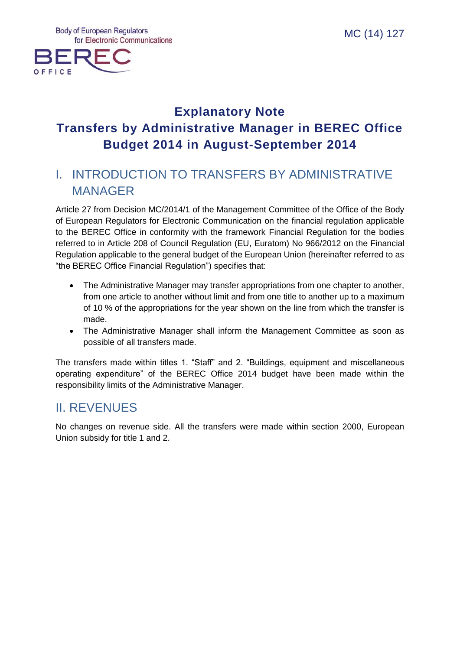

# **Explanatory Note Transfers by Administrative Manager in BEREC Office Budget 2014 in August-September 2014**

## I. INTRODUCTION TO TRANSFERS BY ADMINISTRATIVE MANAGER

Article 27 from Decision MC/2014/1 of the Management Committee of the Office of the Body of European Regulators for Electronic Communication on the financial regulation applicable to the BEREC Office in conformity with the framework Financial Regulation for the bodies referred to in Article 208 of Council Regulation (EU, Euratom) No 966/2012 on the Financial Regulation applicable to the general budget of the European Union (hereinafter referred to as "the BEREC Office Financial Regulation") specifies that:

- The Administrative Manager may transfer appropriations from one chapter to another, from one article to another without limit and from one title to another up to a maximum of 10 % of the appropriations for the year shown on the line from which the transfer is made.
- The Administrative Manager shall inform the Management Committee as soon as possible of all transfers made.

The transfers made within titles 1. "Staff" and 2. "Buildings, equipment and miscellaneous operating expenditure" of the BEREC Office 2014 budget have been made within the responsibility limits of the Administrative Manager.

## II. REVENUES

No changes on revenue side. All the transfers were made within section 2000, European Union subsidy for title 1 and 2.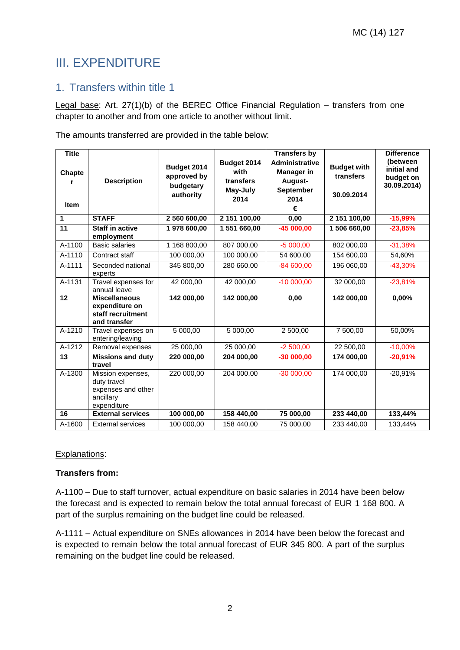## III. EXPENDITURE

### 1. Transfers within title 1

Legal base: Art. 27(1)(b) of the BEREC Office Financial Regulation – transfers from one chapter to another and from one article to another without limit.

The amounts transferred are provided in the table below:

| <b>Title</b><br>Chapte<br><b>Item</b> | <b>Description</b>                                                                 | Budget 2014<br>approved by<br>budgetary<br>authority | Budget 2014<br>with<br>transfers<br>May-July<br>2014 | <b>Transfers by</b><br><b>Administrative</b><br>Manager in<br>August-<br>September<br>2014<br>€ | <b>Budget with</b><br>transfers<br>30.09.2014 | <b>Difference</b><br>(between<br>initial and<br>budget on<br>30.09.2014) |
|---------------------------------------|------------------------------------------------------------------------------------|------------------------------------------------------|------------------------------------------------------|-------------------------------------------------------------------------------------------------|-----------------------------------------------|--------------------------------------------------------------------------|
| 1                                     | <b>STAFF</b>                                                                       | 2 560 600,00                                         | 2 151 100,00                                         | 0,00                                                                                            | 2 151 100,00                                  | $-15,99%$                                                                |
| 11                                    | <b>Staff in active</b><br>employment                                               | 1978 600,00                                          | 1 551 660,00                                         | $-45000,00$                                                                                     | 1 506 660,00                                  | $-23,85%$                                                                |
| A-1100                                | <b>Basic salaries</b>                                                              | 1 168 800,00                                         | 807 000,00                                           | $-5000,00$                                                                                      | 802 000,00                                    | $-31,38%$                                                                |
| A-1110                                | Contract staff                                                                     | 100 000,00                                           | 100 000,00                                           | 54 600,00                                                                                       | 154 600,00                                    | 54,60%                                                                   |
| A-1111                                | Seconded national<br>experts                                                       | 345 800,00                                           | 280 660,00                                           | $-84600,00$                                                                                     | 196 060,00                                    | $-43,30%$                                                                |
| A-1131                                | Travel expenses for<br>annual leave                                                | 42 000,00                                            | 42 000,00                                            | $-1000000$                                                                                      | 32 000,00                                     | $-23,81%$                                                                |
| 12                                    | <b>Miscellaneous</b><br>expenditure on<br>staff recruitment<br>and transfer        | 142 000,00                                           | 142 000,00                                           | $\overline{0,00}$                                                                               | 142 000,00                                    | 0,00%                                                                    |
| A-1210                                | Travel expenses on<br>entering/leaving                                             | 5 000,00                                             | 5 000,00                                             | 2 500,00                                                                                        | 7 500,00                                      | 50,00%                                                                   |
| $A-1212$                              | Removal expenses                                                                   | 25 000,00                                            | 25 000,00                                            | $-2500,00$                                                                                      | 22 500,00                                     | $-10,00%$                                                                |
| 13                                    | <b>Missions and duty</b><br>travel                                                 | 220 000,00                                           | 204 000,00                                           | $-30000,00$                                                                                     | 174 000,00                                    | $-20,91%$                                                                |
| A-1300                                | Mission expenses,<br>duty travel<br>expenses and other<br>ancillary<br>expenditure | 220 000,00                                           | 204 000,00                                           | $-30000,00$                                                                                     | 174 000,00                                    | $-20,91%$                                                                |
| 16                                    | <b>External services</b>                                                           | 100 000,00                                           | 158 440,00                                           | 75 000,00                                                                                       | 233 440,00                                    | 133,44%                                                                  |
| A-1600                                | <b>External services</b>                                                           | 100 000,00                                           | 158 440,00                                           | 75 000,00                                                                                       | 233 440,00                                    | 133,44%                                                                  |

#### Explanations:

#### **Transfers from:**

A-1100 – Due to staff turnover, actual expenditure on basic salaries in 2014 have been below the forecast and is expected to remain below the total annual forecast of EUR 1 168 800. A part of the surplus remaining on the budget line could be released.

A-1111 – Actual expenditure on SNEs allowances in 2014 have been below the forecast and is expected to remain below the total annual forecast of EUR 345 800. A part of the surplus remaining on the budget line could be released.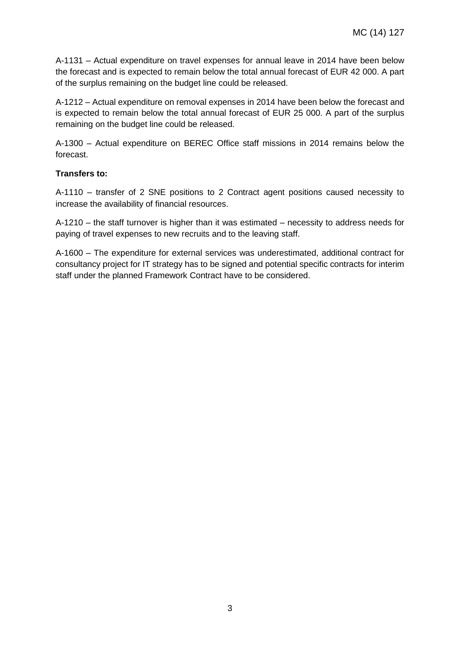A-1131 – Actual expenditure on travel expenses for annual leave in 2014 have been below the forecast and is expected to remain below the total annual forecast of EUR 42 000. A part of the surplus remaining on the budget line could be released.

A-1212 – Actual expenditure on removal expenses in 2014 have been below the forecast and is expected to remain below the total annual forecast of EUR 25 000. A part of the surplus remaining on the budget line could be released.

A-1300 – Actual expenditure on BEREC Office staff missions in 2014 remains below the forecast.

#### **Transfers to:**

A-1110 – transfer of 2 SNE positions to 2 Contract agent positions caused necessity to increase the availability of financial resources.

A-1210 – the staff turnover is higher than it was estimated – necessity to address needs for paying of travel expenses to new recruits and to the leaving staff.

A-1600 – The expenditure for external services was underestimated, additional contract for consultancy project for IT strategy has to be signed and potential specific contracts for interim staff under the planned Framework Contract have to be considered.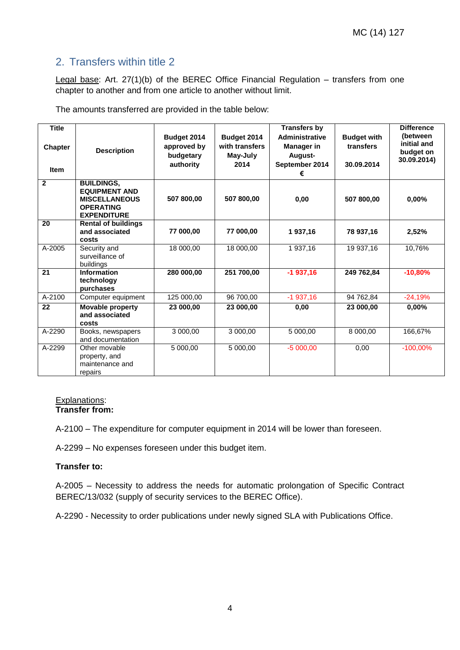### 2. Transfers within title 2

Legal base: Art. 27(1)(b) of the BEREC Office Financial Regulation – transfers from one chapter to another and from one article to another without limit.

The amounts transferred are provided in the table below:

| <b>Title</b><br><b>Chapter</b><br><b>Item</b> | <b>Description</b>                                                                                          | Budget 2014<br>approved by<br>budgetary<br>authority | Budget 2014<br>with transfers<br>May-July<br>2014 | <b>Transfers by</b><br><b>Administrative</b><br><b>Manager</b> in<br>August-<br>September 2014<br>€ | <b>Budget with</b><br>transfers<br>30.09.2014 | <b>Difference</b><br>(between<br>initial and<br>budget on<br>30.09.2014) |
|-----------------------------------------------|-------------------------------------------------------------------------------------------------------------|------------------------------------------------------|---------------------------------------------------|-----------------------------------------------------------------------------------------------------|-----------------------------------------------|--------------------------------------------------------------------------|
| $\overline{2}$                                | <b>BUILDINGS,</b><br><b>EQUIPMENT AND</b><br><b>MISCELLANEOUS</b><br><b>OPERATING</b><br><b>EXPENDITURE</b> | 507 800,00                                           | 507 800,00                                        | 0,00                                                                                                | 507 800,00                                    | 0,00%                                                                    |
| 20                                            | <b>Rental of buildings</b><br>and associated<br>costs                                                       | 77 000,00                                            | 77 000,00                                         | 1937,16                                                                                             | 78 937,16                                     | 2,52%                                                                    |
| A-2005                                        | Security and<br>surveillance of<br>buildings                                                                | 18 000,00                                            | 18 000,00                                         | 1 937,16                                                                                            | 19 937,16                                     | 10,76%                                                                   |
| 21                                            | <b>Information</b><br>technology<br>purchases                                                               | 280 000,00                                           | 251 700,00                                        | $-1937,16$                                                                                          | 249 762,84                                    | $-10,80%$                                                                |
| A-2100                                        | Computer equipment                                                                                          | 125 000,00                                           | 96 700,00                                         | $-1937,16$                                                                                          | 94 762,84                                     | $-24,19%$                                                                |
| 22                                            | Movable property<br>and associated<br>costs                                                                 | 23 000,00                                            | 23 000,00                                         | 0,00                                                                                                | 23 000,00                                     | $0.00\%$                                                                 |
| A-2290                                        | Books, newspapers<br>and documentation                                                                      | 3 000,00                                             | 3 000,00                                          | 5 000,00                                                                                            | 8 000,00                                      | 166,67%                                                                  |
| A-2299                                        | Other movable<br>property, and<br>maintenance and<br>repairs                                                | 5 000.00                                             | 5 000.00                                          | $-5000,00$                                                                                          | 0,00                                          | $-100,00%$                                                               |

#### Explanations: **Transfer from:**

A-2100 – The expenditure for computer equipment in 2014 will be lower than foreseen.

A-2299 – No expenses foreseen under this budget item.

#### **Transfer to:**

A-2005 – Necessity to address the needs for automatic prolongation of Specific Contract BEREC/13/032 (supply of security services to the BEREC Office).

A-2290 - Necessity to order publications under newly signed SLA with Publications Office.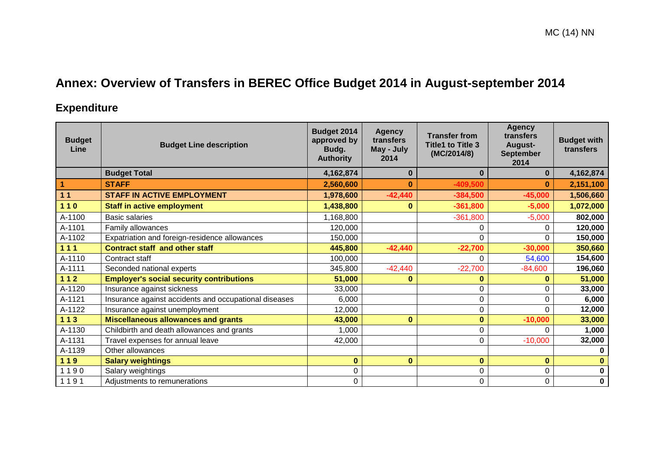# **Annex: Overview of Transfers in BEREC Office Budget 2014 in August-september 2014**

## **Expenditure**

| <b>Budget</b><br>Line | <b>Budget Line description</b>                        | Budget 2014<br>approved by<br>Budg.<br><b>Authority</b> | <b>Agency</b><br>transfers<br>May - July<br>2014 | <b>Transfer from</b><br><b>Title1 to Title 3</b><br>(MC/2014/8) | <b>Agency</b><br>transfers<br>August-<br><b>September</b><br>2014 | <b>Budget with</b><br>transfers |
|-----------------------|-------------------------------------------------------|---------------------------------------------------------|--------------------------------------------------|-----------------------------------------------------------------|-------------------------------------------------------------------|---------------------------------|
|                       | <b>Budget Total</b>                                   | 4,162,874                                               | 0                                                | $\bf{0}$                                                        | $\bf{0}$                                                          | 4,162,874                       |
|                       | <b>STAFF</b>                                          | 2,560,600                                               | $\bf{0}$                                         | $-409,500$                                                      | 0                                                                 | 2,151,100                       |
| 11                    | <b>STAFF IN ACTIVE EMPLOYMENT</b>                     | 1,978,600                                               | $-42,440$                                        | $-384,500$                                                      | $-45,000$                                                         | 1,506,660                       |
| $110$                 | <b>Staff in active employment</b>                     | 1,438,800                                               | $\bf{0}$                                         | $-361,800$                                                      | $-5,000$                                                          | 1,072,000                       |
| A-1100                | <b>Basic salaries</b>                                 | ,168,800                                                |                                                  | $-361,800$                                                      | $-5,000$                                                          | 802,000                         |
| A-1101                | Family allowances                                     | 120,000                                                 |                                                  | 0                                                               | $\Omega$                                                          | 120,000                         |
| A-1102                | Expatriation and foreign-residence allowances         | 150,000                                                 |                                                  | 0                                                               | $\Omega$                                                          | 150,000                         |
| $111$                 | <b>Contract staff and other staff</b>                 | 445,800                                                 | $-42,440$                                        | $-22,700$                                                       | $-30,000$                                                         | 350,660                         |
| A-1110                | Contract staff                                        | 100,000                                                 |                                                  | 0                                                               | 54,600                                                            | 154,600                         |
| A-1111                | Seconded national experts                             | 345,800                                                 | $-42,440$                                        | $-22,700$                                                       | $-84,600$                                                         | 196,060                         |
| $112$                 | <b>Employer's social security contributions</b>       | 51,000                                                  | 0                                                | 0                                                               | 0                                                                 | 51,000                          |
| A-1120                | Insurance against sickness                            | 33,000                                                  |                                                  | 0                                                               | $\Omega$                                                          | 33,000                          |
| A-1121                | Insurance against accidents and occupational diseases | 6,000                                                   |                                                  | 0                                                               | 0                                                                 | 6,000                           |
| A-1122                | Insurance against unemployment                        | 12,000                                                  |                                                  | 0                                                               | $\Omega$                                                          | 12,000                          |
| $113$                 | <b>Miscellaneous allowances and grants</b>            | 43,000                                                  | $\bf{0}$                                         | $\bf{0}$                                                        | $-10,000$                                                         | 33,000                          |
| A-1130                | Childbirth and death allowances and grants            | 1,000                                                   |                                                  | 0                                                               | $\Omega$                                                          | 1,000                           |
| A-1131                | Travel expenses for annual leave                      | 42,000                                                  |                                                  | 0                                                               | $-10,000$                                                         | 32,000                          |
| A-1139                | Other allowances                                      |                                                         |                                                  |                                                                 |                                                                   | $\Omega$                        |
| 119                   | <b>Salary weightings</b>                              | $\bf{0}$                                                | $\bf{0}$                                         | $\bf{0}$                                                        | $\bf{0}$                                                          |                                 |
| 1190                  | Salary weightings                                     | 0                                                       |                                                  | 0                                                               | $\mathbf 0$                                                       | $\mathbf 0$                     |
| 1191                  | Adjustments to remunerations                          | 0                                                       |                                                  | 0                                                               | 0                                                                 | $\pmb{0}$                       |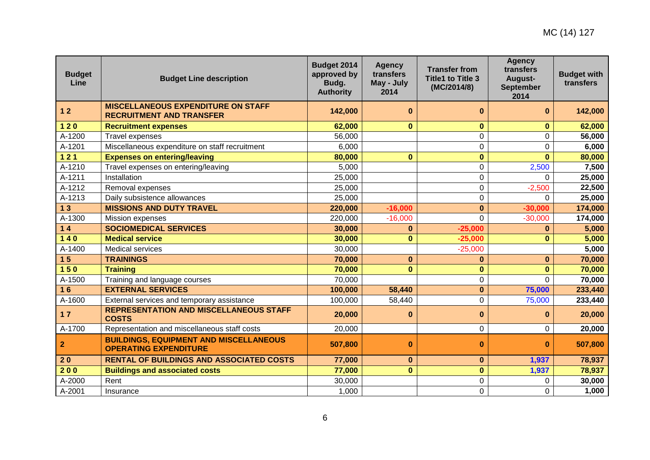| <b>Budget</b><br>Line | <b>Budget Line description</b>                                                | Budget 2014<br>approved by<br>Budg.<br><b>Authority</b> | <b>Agency</b><br>transfers<br>May - July<br>2014 | <b>Transfer from</b><br><b>Title1 to Title 3</b><br>(MC/2014/8) | <b>Agency</b><br>transfers<br>August-<br><b>September</b><br>2014 | <b>Budget with</b><br>transfers |
|-----------------------|-------------------------------------------------------------------------------|---------------------------------------------------------|--------------------------------------------------|-----------------------------------------------------------------|-------------------------------------------------------------------|---------------------------------|
| $12$                  | <b>MISCELLANEOUS EXPENDITURE ON STAFF</b><br><b>RECRUITMENT AND TRANSFER</b>  | 142,000                                                 | $\bf{0}$                                         | 0                                                               | $\bf{0}$                                                          | 142,000                         |
| $120$                 | <b>Recruitment expenses</b>                                                   | 62,000                                                  | $\bf{0}$                                         | $\bf{0}$                                                        | $\bf{0}$                                                          | 62,000                          |
| A-1200                | <b>Travel expenses</b>                                                        | 56,000                                                  |                                                  | 0                                                               | 0                                                                 | 56,000                          |
| A-1201                | Miscellaneous expenditure on staff recruitment                                | 6,000                                                   |                                                  | 0                                                               | 0                                                                 | 6,000                           |
| $121$                 | <b>Expenses on entering/leaving</b>                                           | 80,000                                                  | $\bf{0}$                                         | $\bf{0}$                                                        | $\bf{0}$                                                          | 80,000                          |
| A-1210                | Travel expenses on entering/leaving                                           | 5,000                                                   |                                                  | 0                                                               | 2,500                                                             | 7,500                           |
| A-1211                | Installation                                                                  | 25,000                                                  |                                                  | 0                                                               | 0                                                                 | 25,000                          |
| A-1212                | Removal expenses                                                              | 25,000                                                  |                                                  | 0                                                               | $-2,500$                                                          | 22,500                          |
| A-1213                | Daily subsistence allowances                                                  | 25,000                                                  |                                                  | 0                                                               | $\Omega$                                                          | 25,000                          |
| 13                    | <b>MISSIONS AND DUTY TRAVEL</b>                                               | 220,000                                                 | $-16,000$                                        | $\bf{0}$                                                        | $-30,000$                                                         | 174,000                         |
| A-1300                | Mission expenses                                                              | 220,000                                                 | $-16,000$                                        | $\overline{0}$                                                  | $-30,000$                                                         | 174,000                         |
| $14$                  | <b>SOCIOMEDICAL SERVICES</b>                                                  | 30,000                                                  | $\bf{0}$                                         | $-25,000$                                                       | $\bf{0}$                                                          | 5,000                           |
| $140$                 | <b>Medical service</b>                                                        | 30,000                                                  | $\bf{0}$                                         | $-25,000$                                                       | $\bf{0}$                                                          | 5,000                           |
| A-1400                | Medical services                                                              | 30,000                                                  |                                                  | $-25,000$                                                       |                                                                   | 5,000                           |
| 15                    | <b>TRAININGS</b>                                                              | 70,000                                                  | $\bf{0}$                                         | 0                                                               | $\bf{0}$                                                          | 70,000                          |
| 150                   | <b>Training</b>                                                               | 70,000                                                  | $\bf{0}$                                         | 0                                                               | $\bf{0}$                                                          | 70,000                          |
| A-1500                | Training and language courses                                                 | 70,000                                                  |                                                  | 0                                                               | $\Omega$                                                          | 70,000                          |
| 16                    | <b>EXTERNAL SERVICES</b>                                                      | 100,000                                                 | 58,440                                           | $\bf{0}$                                                        | 75,000                                                            | 233,440                         |
| A-1600                | External services and temporary assistance                                    | 100,000                                                 | 58,440                                           | 0                                                               | 75,000                                                            | 233,440                         |
| 17                    | <b>REPRESENTATION AND MISCELLANEOUS STAFF</b><br><b>COSTS</b>                 | 20,000                                                  | $\bf{0}$                                         | $\bf{0}$                                                        | $\bf{0}$                                                          | 20,000                          |
| A-1700                | Representation and miscellaneous staff costs                                  | 20,000                                                  |                                                  | $\boldsymbol{0}$                                                | 0                                                                 | 20,000                          |
| $\overline{2}$        | <b>BUILDINGS, EQUIPMENT AND MISCELLANEOUS</b><br><b>OPERATING EXPENDITURE</b> | 507,800                                                 | $\bf{0}$                                         | $\bf{0}$                                                        | $\bf{0}$                                                          | 507,800                         |
| 20                    | <b>RENTAL OF BUILDINGS AND ASSOCIATED COSTS</b>                               | 77,000                                                  | $\bf{0}$                                         | $\bf{0}$                                                        | 1,937                                                             | 78,937                          |
| 200                   | <b>Buildings and associated costs</b>                                         | 77,000                                                  | $\bf{0}$                                         | $\bf{0}$                                                        | 1,937                                                             | 78,937                          |
| A-2000                | Rent                                                                          | 30,000                                                  |                                                  | 0                                                               | $\Omega$                                                          | 30,000                          |
| A-2001                | Insurance                                                                     | 1,000                                                   |                                                  | 0                                                               | 0                                                                 | 1,000                           |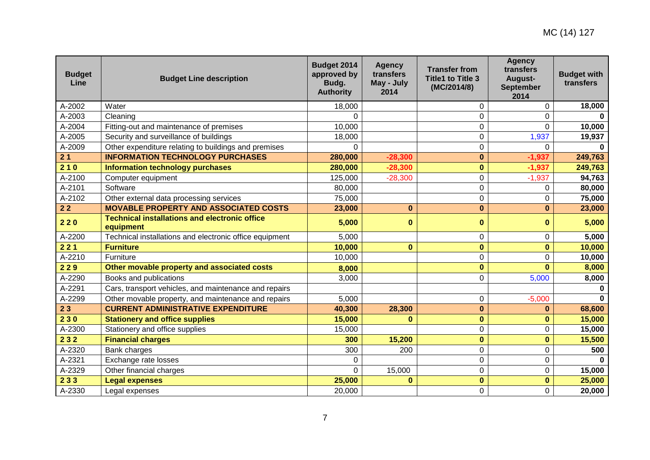| <b>Budget</b><br>Line | <b>Budget Line description</b>                                    | Budget 2014<br>approved by<br>Budg.<br><b>Authority</b> | <b>Agency</b><br>transfers<br>May - July<br>2014 | <b>Transfer from</b><br><b>Title1 to Title 3</b><br>(MC/2014/8) | <b>Agency</b><br>transfers<br>August-<br><b>September</b><br>2014 | <b>Budget with</b><br>transfers |
|-----------------------|-------------------------------------------------------------------|---------------------------------------------------------|--------------------------------------------------|-----------------------------------------------------------------|-------------------------------------------------------------------|---------------------------------|
| A-2002                | Water                                                             | 18,000                                                  |                                                  | $\Omega$                                                        | 0                                                                 | 18,000                          |
| A-2003                | Cleaning                                                          | 0                                                       |                                                  | $\Omega$                                                        | $\Omega$                                                          |                                 |
| A-2004                | Fitting-out and maintenance of premises                           | 10,000                                                  |                                                  | $\mathbf 0$                                                     | $\mathbf 0$                                                       | 10,000                          |
| A-2005                | Security and surveillance of buildings                            | 18,000                                                  |                                                  | $\mathbf 0$                                                     | 1,937                                                             | 19,937                          |
| A-2009                | Other expenditure relating to buildings and premises              | $\Omega$                                                |                                                  | $\mathbf 0$                                                     | $\overline{0}$                                                    | $\Omega$                        |
| 21                    | <b>INFORMATION TECHNOLOGY PURCHASES</b>                           | 280,000                                                 | $-28,300$                                        | $\bf{0}$                                                        | $-1,937$                                                          | 249,763                         |
| 210                   | <b>Information technology purchases</b>                           | 280,000                                                 | $-28,300$                                        | $\bf{0}$                                                        | $-1,937$                                                          | 249,763                         |
| A-2100                | Computer equipment                                                | 125,000                                                 | $-28,300$                                        | $\mathbf 0$                                                     | $-1,937$                                                          | 94,763                          |
| A-2101                | Software                                                          | 80,000                                                  |                                                  | $\mathbf 0$                                                     | 0                                                                 | 80,000                          |
| A-2102                | Other external data processing services                           | 75,000                                                  |                                                  | $\mathbf 0$                                                     | 0                                                                 | 75,000                          |
| 22                    | <b>MOVABLE PROPERTY AND ASSOCIATED COSTS</b>                      | 23,000                                                  | $\bf{0}$                                         | $\bf{0}$                                                        | $\bf{0}$                                                          | 23,000                          |
| 220                   | <b>Technical installations and electronic office</b><br>equipment | 5,000                                                   | $\bf{0}$                                         | $\bf{0}$                                                        | $\bf{0}$                                                          | 5,000                           |
| A-2200                | Technical installations and electronic office equipment           | 5,000                                                   |                                                  | 0                                                               | $\pmb{0}$                                                         | 5,000                           |
| 221                   | <b>Furniture</b>                                                  | 10,000                                                  | $\bf{0}$                                         | $\mathbf 0$                                                     | $\bf{0}$                                                          | 10,000                          |
| A-2210                | Furniture                                                         | 10,000                                                  |                                                  | $\mathbf 0$                                                     | $\mathbf 0$                                                       | 10,000                          |
| 229                   | Other movable property and associated costs                       | 8,000                                                   |                                                  | $\bf{0}$                                                        | $\bf{0}$                                                          | 8,000                           |
| A-2290                | Books and publications                                            | 3,000                                                   |                                                  | $\mathbf 0$                                                     | 5,000                                                             | 8,000                           |
| A-2291                | Cars, transport vehicles, and maintenance and repairs             |                                                         |                                                  |                                                                 |                                                                   |                                 |
| A-2299                | Other movable property, and maintenance and repairs               | 5,000                                                   |                                                  | 0                                                               | $-5,000$                                                          | $\Omega$                        |
| 23                    | <b>CURRENT ADMINISTRATIVE EXPENDITURE</b>                         | 40,300                                                  | 28,300                                           | $\bf{0}$                                                        | $\bf{0}$                                                          | 68,600                          |
| 230                   | <b>Stationery and office supplies</b>                             | 15,000                                                  | $\bf{0}$                                         | $\mathbf 0$                                                     | $\mathbf{0}$                                                      | 15,000                          |
| A-2300                | Stationery and office supplies                                    | 15,000                                                  |                                                  | $\mathbf 0$                                                     | 0                                                                 | 15,000                          |
| 232                   | <b>Financial charges</b>                                          | 300                                                     | 15,200                                           | $\mathbf 0$                                                     | $\mathbf{0}$                                                      | 15,500                          |
| A-2320                | Bank charges                                                      | 300                                                     | 200                                              | $\mathbf 0$                                                     | $\mathbf 0$                                                       | 500                             |
| A-2321                | Exchange rate losses                                              | 0                                                       |                                                  | $\mathbf 0$                                                     | $\mathbf 0$                                                       |                                 |
| A-2329                | Other financial charges                                           | $\Omega$                                                | 15,000                                           | $\pmb{0}$                                                       | 0                                                                 | 15,000                          |
| 233                   | <b>Legal expenses</b>                                             | 25,000                                                  | $\mathbf{0}$                                     | $\mathbf 0$                                                     | $\mathbf 0$                                                       | 25,000                          |
| A-2330                | Legal expenses                                                    | 20,000                                                  |                                                  | $\mathbf 0$                                                     | $\mathbf 0$                                                       | 20,000                          |